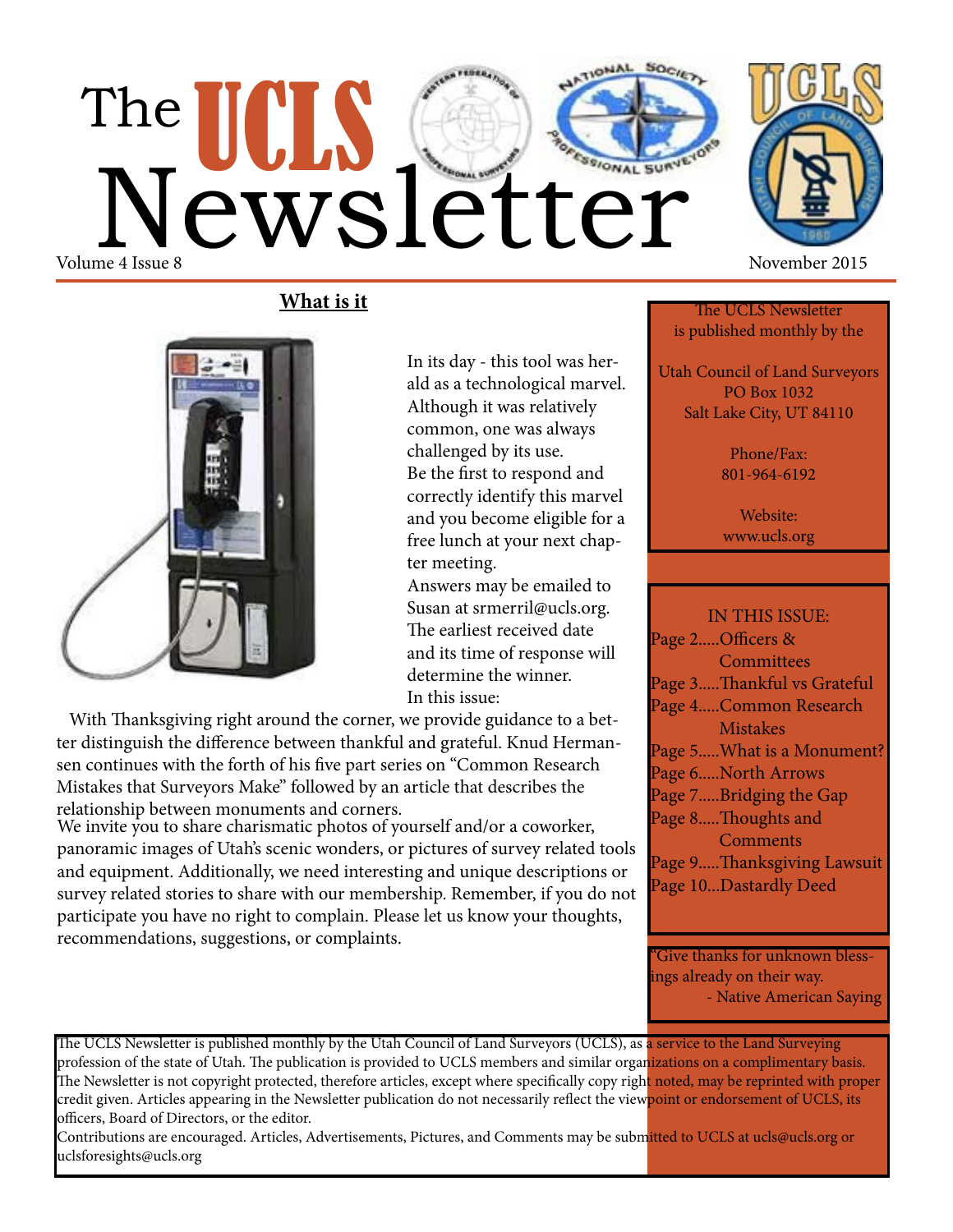# The UCLS Cetter Volume 4 Issue 8 November 2015



**What is it**



In its day - this tool was herald as a technological marvel. Although it was relatively common, one was always challenged by its use. Be the first to respond and correctly identify this marvel and you become eligible for a free lunch at your next chapter meeting.

 Answers may be emailed to Susan at srmerril@ucls.org. The earliest received date and its time of response will determine the winner. In this issue:

 With Thanksgiving right around the corner, we provide guidance to a better distinguish the difference between thankful and grateful. Knud Hermansen continues with the forth of his five part series on "Common Research Mistakes that Surveyors Make" followed by an article that describes the relationship between monuments and corners.

We invite you to share charismatic photos of yourself and/or a coworker, panoramic images of Utah's scenic wonders, or pictures of survey related tools and equipment. Additionally, we need interesting and unique descriptions or survey related stories to share with our membership. Remember, if you do not participate you have no right to complain. Please let us know your thoughts, recommendations, suggestions, or complaints.

The UCLS Newsletter is published monthly by the

Utah Council of Land Surveyors PO Box 1032 Salt Lake City, UT 84110

> Phone/Fax: 801-964-6192

Website: www.ucls.org

IN THIS ISSUE: Page 2.....Officers & **Committees** Page 3.....Thankful vs Grateful Page 4.....Common Research Mistakes Page 5.....What is a Monument? Page 6.....North Arrows Page 7.....Bridging the Gap Page 8.....Thoughts and **Comments** Page 9.....Thanksgiving Lawsuit Page 10...Dastardly Deed

"Give thanks for unknown blessings already on their way. - Native American Saying

The UCLS Newsletter is published monthly by the Utah Council of Land Surveyors (UCLS), as <mark>a service to the Land Surveying</mark> profession of the state of Utah. The publication is provided to UCLS members and similar organizations on a complimentary basis. The Newsletter is not copyright protected, therefore articles, except where specifically copy right noted, may be reprinted with proper credit given. Articles appearing in the Newsletter publication do not necessarily reflect the viewpoint or endorsement of UCLS, its officers, Board of Directors, or the editor.

Contributions are encouraged. Articles, Advertisements, Pictures, and Comments may be submitted to UCLS at ucls@ucls.org or uclsforesights@ucls.org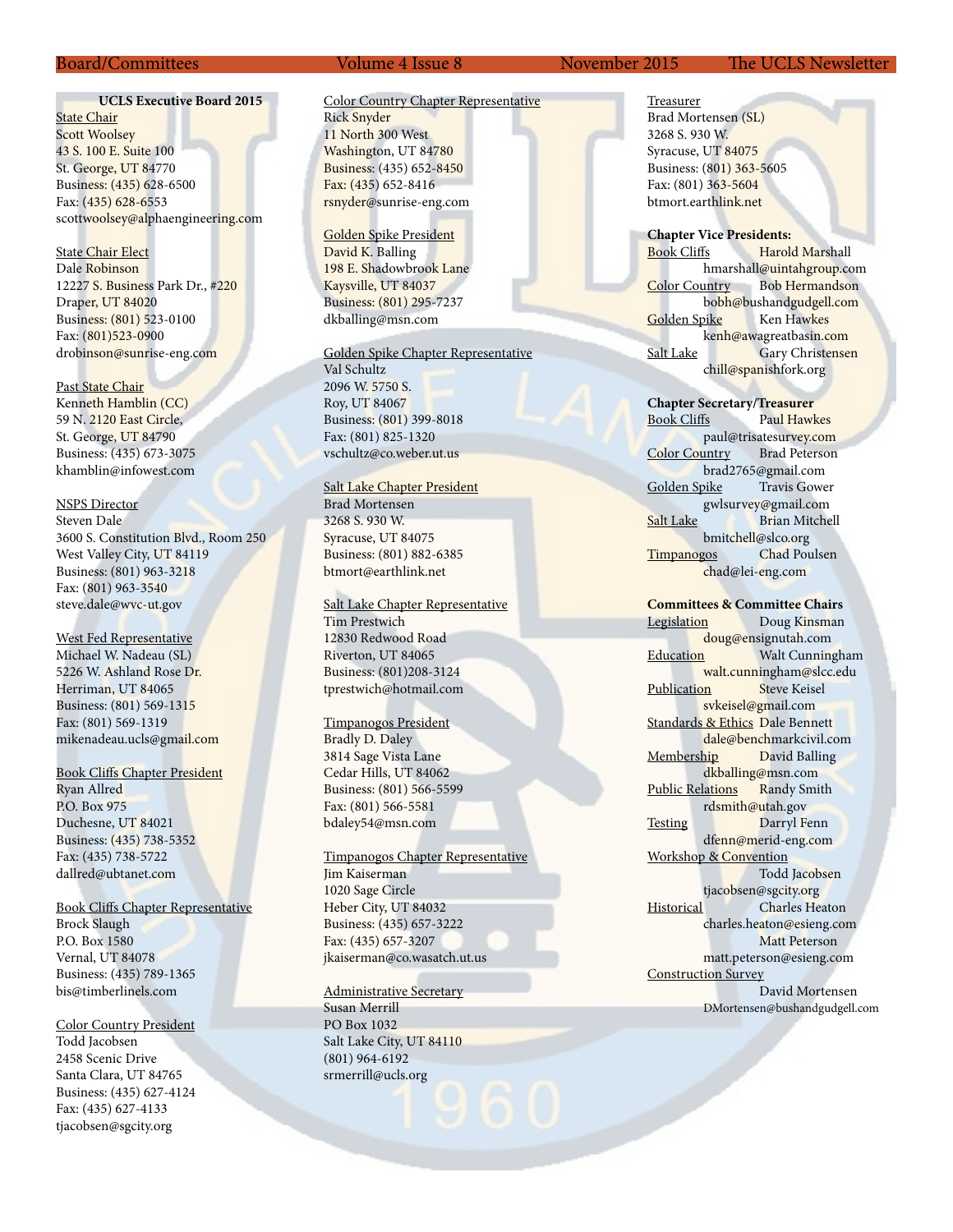#### **UCLS Executive Board 2015**

**State Chair** Scott Woolsey 43 S. 100 E. Suite 100 St. George, UT 84770 Business: (435) 628-6500 Fax: (435) 628-6553 scottwoolsey@alphaengineering.com

State Chair Elect Dale Robinson 12227 S. Business Park Dr., #220 Draper, UT 84020 Business: (801) 523-0100 Fax: (801)523-0900 drobinson@sunrise-eng.com

Past State Chair Kenneth Hamblin (CC) 59 N. 2120 East Circle, St. George, UT 84790 Business: (435) 673-3075 khamblin@infowest.com

NSPS Director Steven Dale 3600 S. Constitution Blvd., Room 250 West Valley City, UT 84119 Business: (801) 963-3218 Fax: (801) 963-3540 steve.dale@wvc-ut.gov

West Fed Representative Michael W. Nadeau (SL) 5226 W. Ashland Rose Dr. Herriman, UT 84065 Business: (801) 569-1315 Fax: (801) 569-1319 mikenadeau.ucls@gmail.com

Book Cliffs Chapter President Ryan Allred P.O. Box 975 Duchesne, UT 84021 Business: (435) 738-5352 Fax: (435) 738-5722 dallred@ubtanet.com

Book Cliffs Chapter Representative Brock Slaugh P.O. Box 1580 Vernal, UT 84078 Business: (435) 789-1365 bis@timberlinels.com

Color Country President Todd Jacobsen 2458 Scenic Drive Santa Clara, UT 84765 Business: (435) 627-4124 Fax: (435) 627-4133 tjacobsen@sgcity.org

#### Color Country Chapter Representative Rick Snyder 11 North 300 West Washington, UT 84780 Business: (435) 652-8450 Fax: (435) 652-8416 rsnyder@sunrise-eng.com

Golden Spike President David K. Balling 198 E. Shadowbrook Lane Kaysville, UT 84037 Business: (801) 295-7237 dkballing@msn.com

Golden Spike Chapter Representative

Val Schultz 2096 W. 5750 S. Roy, UT 84067 Business: (801) 399-8018 Fax: (801) 825-1320 vschultz@co.weber.ut.us

Salt Lake Chapter President Brad Mortensen 3268 S. 930 W. Syracuse, UT 84075 Business: (801) 882-6385 btmort@earthlink.net

Salt Lake Chapter Representative

Tim Prestwich 12830 Redwood Road Riverton, UT 84065 Business: (801)208-3124 tprestwich@hotmail.com

Timpanogos President Bradly D. Daley 3814 Sage Vista Lane Cedar Hills, UT 84062 Business: (801) 566-5599 Fax: (801) 566-5581 bdaley54@msn.com

Timpanogos Chapter Representative Jim Kaiserman

1020 Sage Circle Heber City, UT 84032 Business: (435) 657-3222 Fax: (435) 657-3207 jkaiserman@co.wasatch.ut.us

Administrative Secretary Susan Merrill PO Box 1032 Salt Lake City, UT 84110 (801) 964-6192 srmerrill@ucls.org

Treasurer Brad Mortensen (SL) 3268 S. 930 W. Syracuse, UT 84075 Business: (801) 363-5605 Fax: (801) 363-5604 btmort.earthlink.net

**Chapter Vice Presidents:** Book Cliffs Harold Marshall hmarshall@uintahgroup.com Color Country Bob Hermandson bobh@bushandgudgell.com Golden Spike Ken Hawkes kenh@awagreatbasin.com Salt Lake Gary Christensen chill@spanishfork.org

**Chapter Secretary/Treasurer**

Book Cliffs Paul Hawkes paul@trisatesurvey.com Color Country brad2765@gmail.com Golden Spike Travis Gower gwlsurvey@gmail.com Salt Lake Brian Mitchell bmitchell@slco.org Timpanogos Chad Poulsen chad@lei-eng.com

**Committees & Committee Chairs** Legislation Doug Kinsman doug@ensignutah.com Education **Walt Cunningham** walt.cunningham@slcc.edu<br>on Steve Keisel Publication svkeisel@gmail.com Standards & Ethics Dale Bennett dale@benchmarkcivil.com Membership David Balling dkballing@msn.com Public Relations Randy Smith rdsmith@utah.gov Testing Darryl Fenn dfenn@merid-eng.com Workshop & Convention Todd Jacobsen tjacobsen@sgcity.org Historical Charles Heaton charles.heaton@esieng.com Matt Peterson matt.peterson@esieng.com Construction Survey David Mortensen DMortensen@bushandgudgell.com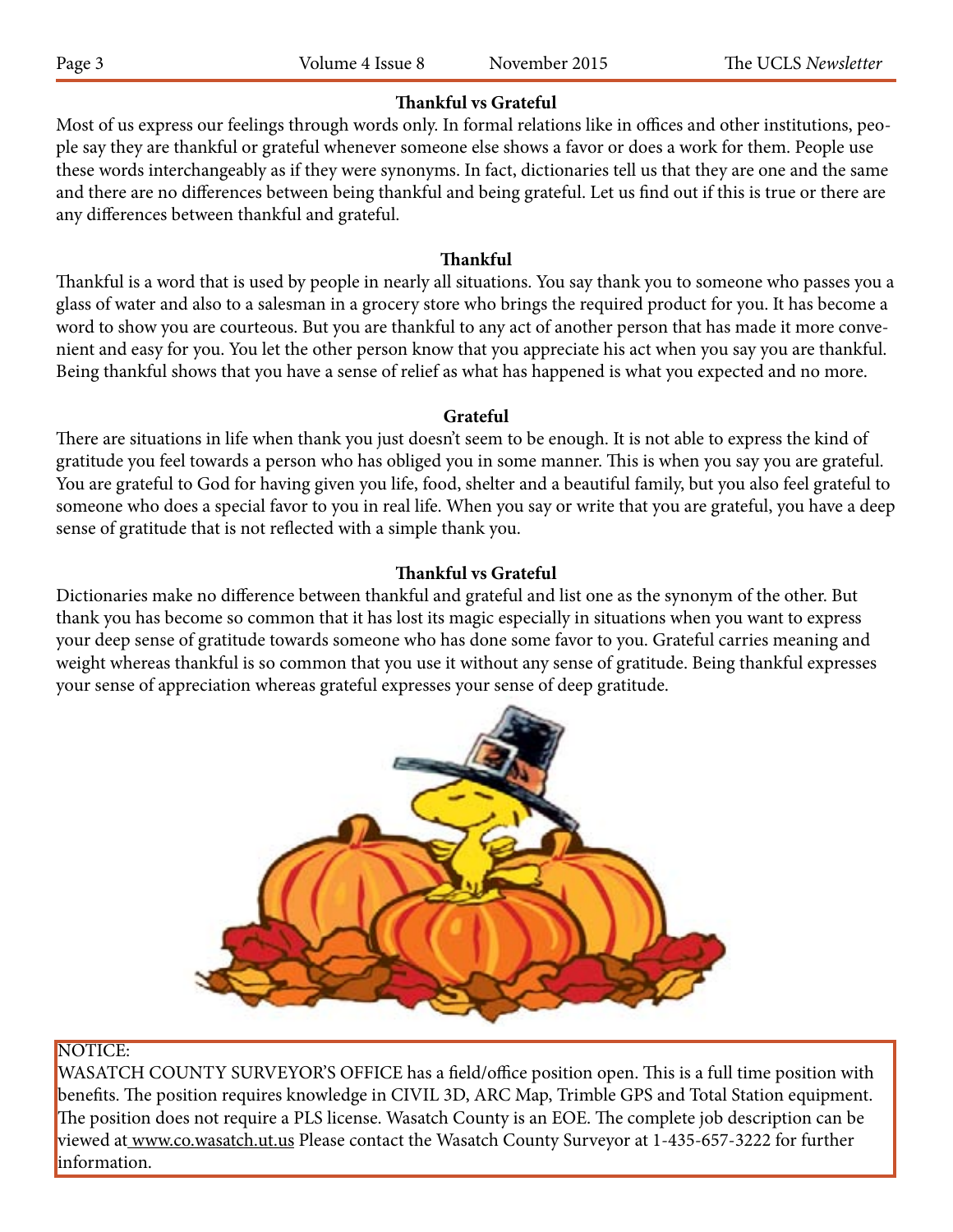# **Thankful vs Grateful**

Most of us express our feelings through words only. In formal relations like in offices and other institutions, people say they are thankful or grateful whenever someone else shows a favor or does a work for them. People use these words interchangeably as if they were synonyms. In fact, dictionaries tell us that they are one and the same and there are no differences between being thankful and being grateful. Let us find out if this is true or there are any differences between thankful and grateful.

#### **Thankful**

Thankful is a word that is used by people in nearly all situations. You say thank you to someone who passes you a glass of water and also to a salesman in a grocery store who brings the required product for you. It has become a word to show you are courteous. But you are thankful to any act of another person that has made it more convenient and easy for you. You let the other person know that you appreciate his act when you say you are thankful. Being thankful shows that you have a sense of relief as what has happened is what you expected and no more.

#### **Grateful**

There are situations in life when thank you just doesn't seem to be enough. It is not able to express the kind of gratitude you feel towards a person who has obliged you in some manner. This is when you say you are grateful. You are grateful to God for having given you life, food, shelter and a beautiful family, but you also feel grateful to someone who does a special favor to you in real life. When you say or write that you are grateful, you have a deep sense of gratitude that is not reflected with a simple thank you.

## **Thankful vs Grateful**

Dictionaries make no difference between thankful and grateful and list one as the synonym of the other. But thank you has become so common that it has lost its magic especially in situations when you want to express your deep sense of gratitude towards someone who has done some favor to you. Grateful carries meaning and weight whereas thankful is so common that you use it without any sense of gratitude. Being thankful expresses your sense of appreciation whereas grateful expresses your sense of deep gratitude.



### NOTICE:

WASATCH COUNTY SURVEYOR'S OFFICE has a field/office position open. This is a full time position with benefits. The position requires knowledge in CIVIL 3D, ARC Map, Trimble GPS and Total Station equipment. The position does not require a PLS license. Wasatch County is an EOE. The complete job description can be viewed at www.co.wasatch.ut.us Please contact the Wasatch County Surveyor at 1-435-657-3222 for further information.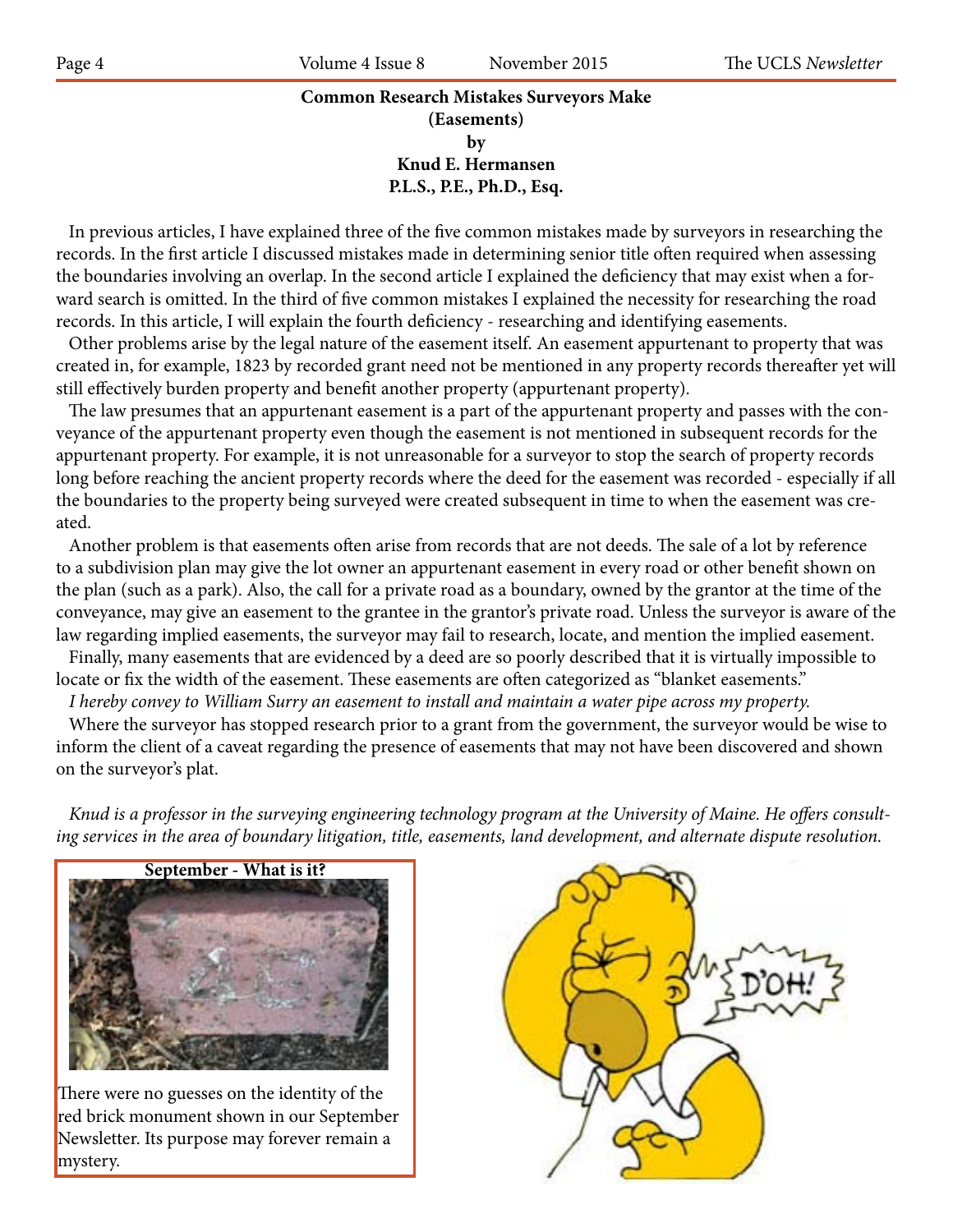# **Common Research Mistakes Surveyors Make (Easements) by Knud E. Hermansen P.L.S., P.E., Ph.D., Esq.**

 In previous articles, I have explained three of the five common mistakes made by surveyors in researching the records. In the first article I discussed mistakes made in determining senior title often required when assessing the boundaries involving an overlap. In the second article I explained the deficiency that may exist when a forward search is omitted. In the third of five common mistakes I explained the necessity for researching the road records. In this article, I will explain the fourth deficiency - researching and identifying easements.

 Other problems arise by the legal nature of the easement itself. An easement appurtenant to property that was created in, for example, 1823 by recorded grant need not be mentioned in any property records thereafter yet will still effectively burden property and benefit another property (appurtenant property).

 The law presumes that an appurtenant easement is a part of the appurtenant property and passes with the conveyance of the appurtenant property even though the easement is not mentioned in subsequent records for the appurtenant property. For example, it is not unreasonable for a surveyor to stop the search of property records long before reaching the ancient property records where the deed for the easement was recorded - especially if all the boundaries to the property being surveyed were created subsequent in time to when the easement was created.

 Another problem is that easements often arise from records that are not deeds. The sale of a lot by reference to a subdivision plan may give the lot owner an appurtenant easement in every road or other benefit shown on the plan (such as a park). Also, the call for a private road as a boundary, owned by the grantor at the time of the conveyance, may give an easement to the grantee in the grantor's private road. Unless the surveyor is aware of the law regarding implied easements, the surveyor may fail to research, locate, and mention the implied easement.

 Finally, many easements that are evidenced by a deed are so poorly described that it is virtually impossible to locate or fix the width of the easement. These easements are often categorized as "blanket easements."

 *I hereby convey to William Surry an easement to install and maintain a water pipe across my property.*

 Where the surveyor has stopped research prior to a grant from the government, the surveyor would be wise to inform the client of a caveat regarding the presence of easements that may not have been discovered and shown on the surveyor's plat.

 *Knud is a professor in the surveying engineering technology program at the University of Maine. He offers consulting services in the area of boundary litigation, title, easements, land development, and alternate dispute resolution.*



There were no guesses on the identity of the red brick monument shown in our September Newsletter. Its purpose may forever remain a mystery.

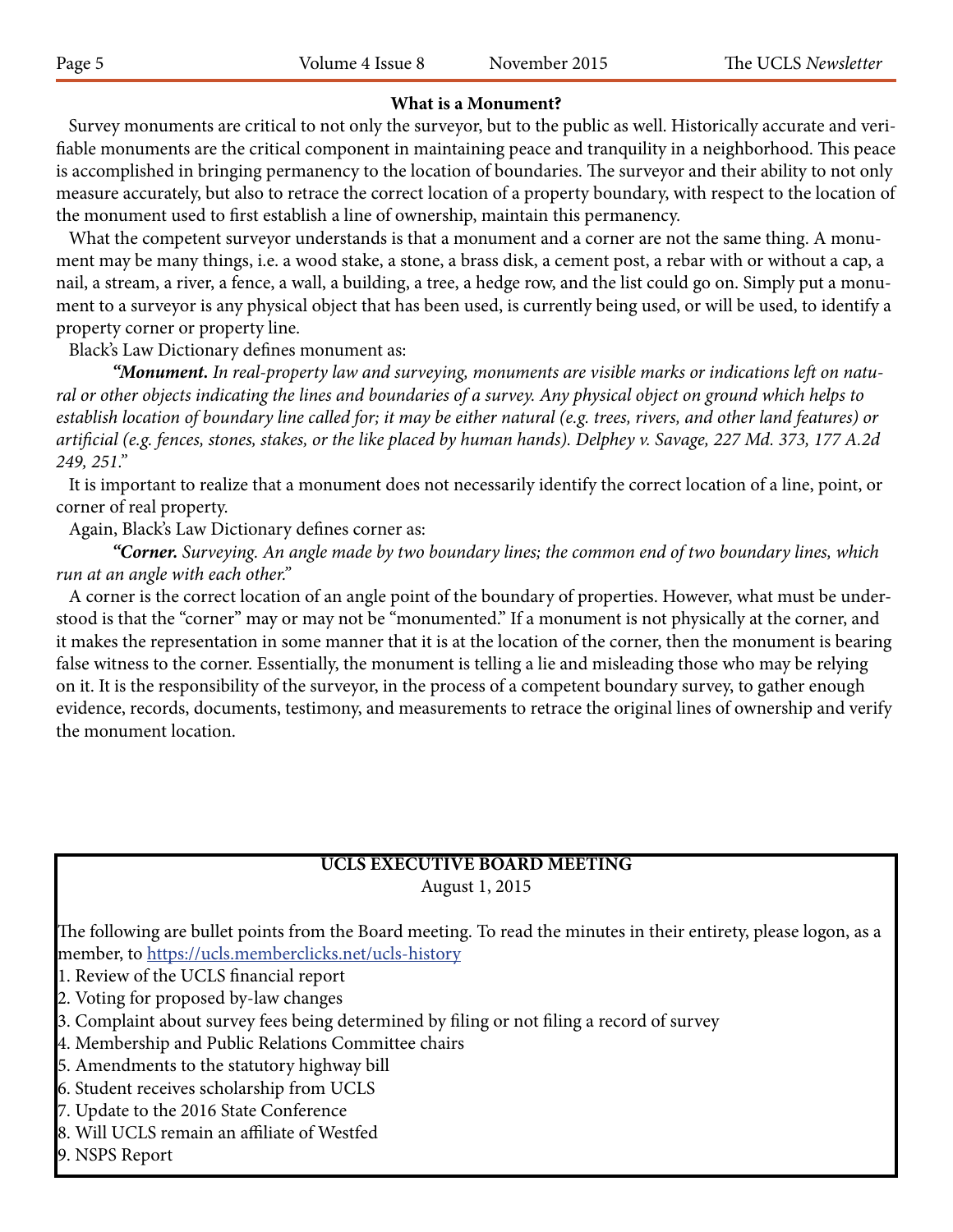# **What is a Monument?**

 Survey monuments are critical to not only the surveyor, but to the public as well. Historically accurate and verifiable monuments are the critical component in maintaining peace and tranquility in a neighborhood. This peace is accomplished in bringing permanency to the location of boundaries. The surveyor and their ability to not only measure accurately, but also to retrace the correct location of a property boundary, with respect to the location of the monument used to first establish a line of ownership, maintain this permanency.

 What the competent surveyor understands is that a monument and a corner are not the same thing. A monument may be many things, i.e. a wood stake, a stone, a brass disk, a cement post, a rebar with or without a cap, a nail, a stream, a river, a fence, a wall, a building, a tree, a hedge row, and the list could go on. Simply put a monument to a surveyor is any physical object that has been used, is currently being used, or will be used, to identify a property corner or property line.

Black's Law Dictionary defines monument as:

*"Monument. In real-property law and surveying, monuments are visible marks or indications left on natural or other objects indicating the lines and boundaries of a survey. Any physical object on ground which helps to establish location of boundary line called for; it may be either natural (e.g. trees, rivers, and other land features) or artificial (e.g. fences, stones, stakes, or the like placed by human hands). Delphey v. Savage, 227 Md. 373, 177 A.2d 249, 251."*

 It is important to realize that a monument does not necessarily identify the correct location of a line, point, or corner of real property.

Again, Black's Law Dictionary defines corner as:

*"Corner. Surveying. An angle made by two boundary lines; the common end of two boundary lines, which run at an angle with each other."*

 A corner is the correct location of an angle point of the boundary of properties. However, what must be understood is that the "corner" may or may not be "monumented." If a monument is not physically at the corner, and it makes the representation in some manner that it is at the location of the corner, then the monument is bearing false witness to the corner. Essentially, the monument is telling a lie and misleading those who may be relying on it. It is the responsibility of the surveyor, in the process of a competent boundary survey, to gather enough evidence, records, documents, testimony, and measurements to retrace the original lines of ownership and verify the monument location.

#### **UCLS EXECUTIVE BOARD MEETING** August 1, 2015

The following are bullet points from the Board meeting. To read the minutes in their entirety, please logon, as a member, to https://ucls.memberclicks.net/ucls-history

1. Review of the UCLS financial report

2. Voting for proposed by-law changes

3. Complaint about survey fees being determined by filing or not filing a record of survey

4. Membership and Public Relations Committee chairs

5. Amendments to the statutory highway bill

6. Student receives scholarship from UCLS

7. Update to the 2016 State Conference

- 8. Will UCLS remain an affiliate of Westfed
- 9. NSPS Report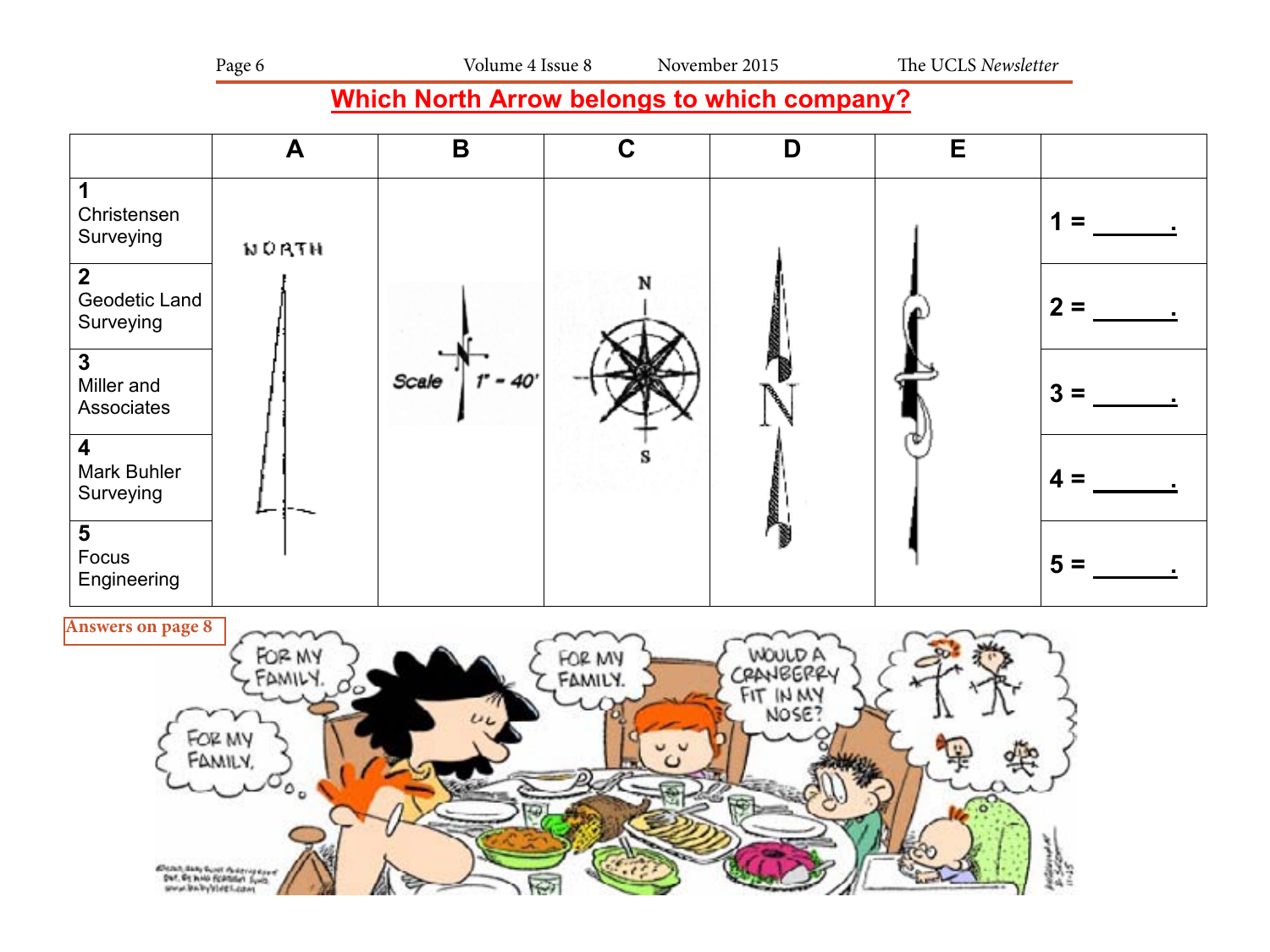# **Which North Arrow belongs to which company?**



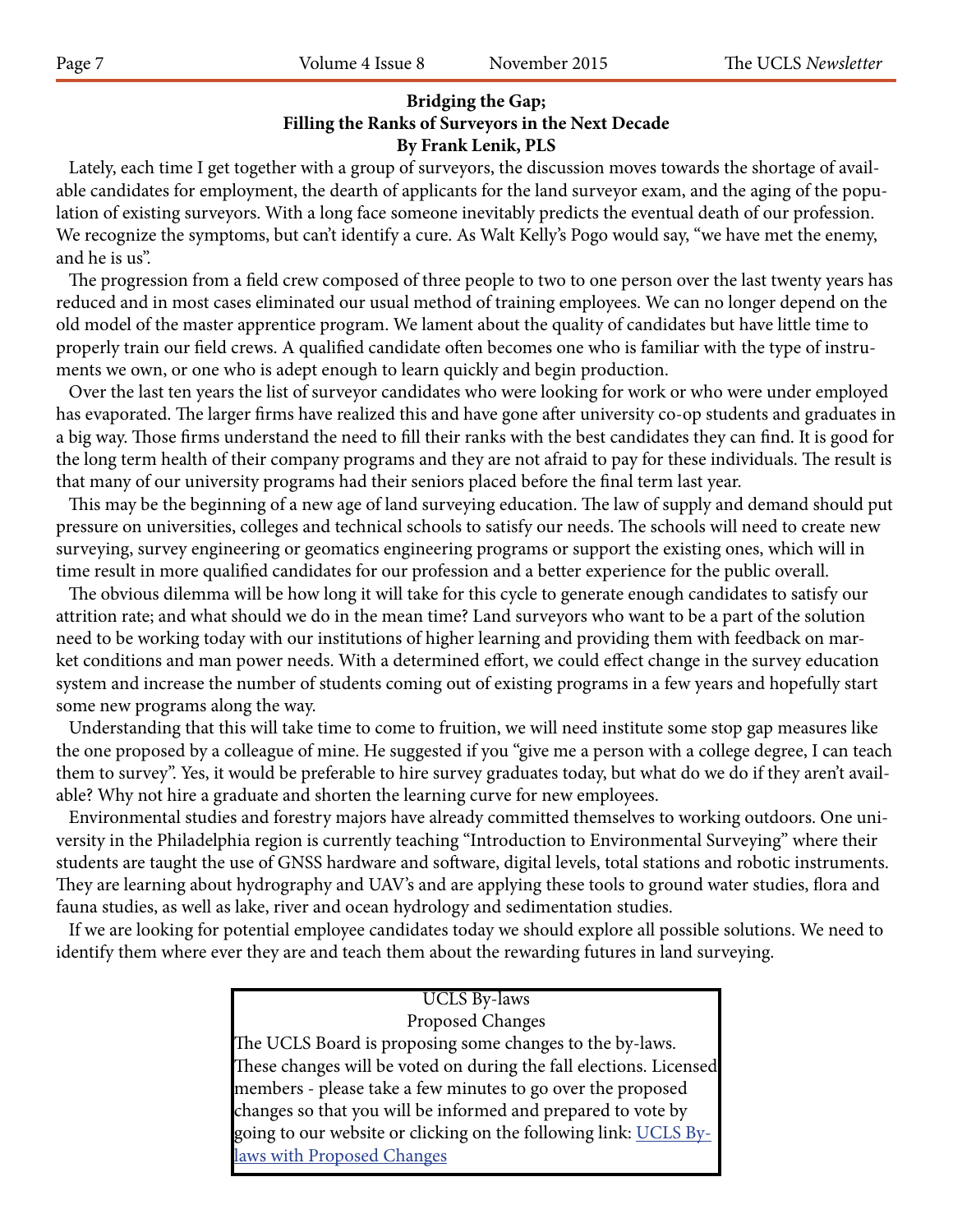## **Bridging the Gap; Filling the Ranks of Surveyors in the Next Decade By Frank Lenik, PLS**

 Lately, each time I get together with a group of surveyors, the discussion moves towards the shortage of available candidates for employment, the dearth of applicants for the land surveyor exam, and the aging of the population of existing surveyors. With a long face someone inevitably predicts the eventual death of our profession. We recognize the symptoms, but can't identify a cure. As Walt Kelly's Pogo would say, "we have met the enemy, and he is us".

 The progression from a field crew composed of three people to two to one person over the last twenty years has reduced and in most cases eliminated our usual method of training employees. We can no longer depend on the old model of the master apprentice program. We lament about the quality of candidates but have little time to properly train our field crews. A qualified candidate often becomes one who is familiar with the type of instruments we own, or one who is adept enough to learn quickly and begin production.

 Over the last ten years the list of surveyor candidates who were looking for work or who were under employed has evaporated. The larger firms have realized this and have gone after university co-op students and graduates in a big way. Those firms understand the need to fill their ranks with the best candidates they can find. It is good for the long term health of their company programs and they are not afraid to pay for these individuals. The result is that many of our university programs had their seniors placed before the final term last year.

 This may be the beginning of a new age of land surveying education. The law of supply and demand should put pressure on universities, colleges and technical schools to satisfy our needs. The schools will need to create new surveying, survey engineering or geomatics engineering programs or support the existing ones, which will in time result in more qualified candidates for our profession and a better experience for the public overall.

 The obvious dilemma will be how long it will take for this cycle to generate enough candidates to satisfy our attrition rate; and what should we do in the mean time? Land surveyors who want to be a part of the solution need to be working today with our institutions of higher learning and providing them with feedback on market conditions and man power needs. With a determined effort, we could effect change in the survey education system and increase the number of students coming out of existing programs in a few years and hopefully start some new programs along the way.

 Understanding that this will take time to come to fruition, we will need institute some stop gap measures like the one proposed by a colleague of mine. He suggested if you "give me a person with a college degree, I can teach them to survey". Yes, it would be preferable to hire survey graduates today, but what do we do if they aren't available? Why not hire a graduate and shorten the learning curve for new employees.

 Environmental studies and forestry majors have already committed themselves to working outdoors. One university in the Philadelphia region is currently teaching "Introduction to Environmental Surveying" where their students are taught the use of GNSS hardware and software, digital levels, total stations and robotic instruments. They are learning about hydrography and UAV's and are applying these tools to ground water studies, flora and fauna studies, as well as lake, river and ocean hydrology and sedimentation studies.

 If we are looking for potential employee candidates today we should explore all possible solutions. We need to identify them where ever they are and teach them about the rewarding futures in land surveying.

# UCLS By-laws Proposed Changes The UCLS Board is proposing some changes to the by-laws. These changes will be voted on during the fall elections. Licensed members - please take a few minutes to go over the proposed changes so that you will be informed and prepared to vote by going to our website or clicking on the following link: <u>UCLS By-</u> laws with Proposed Changes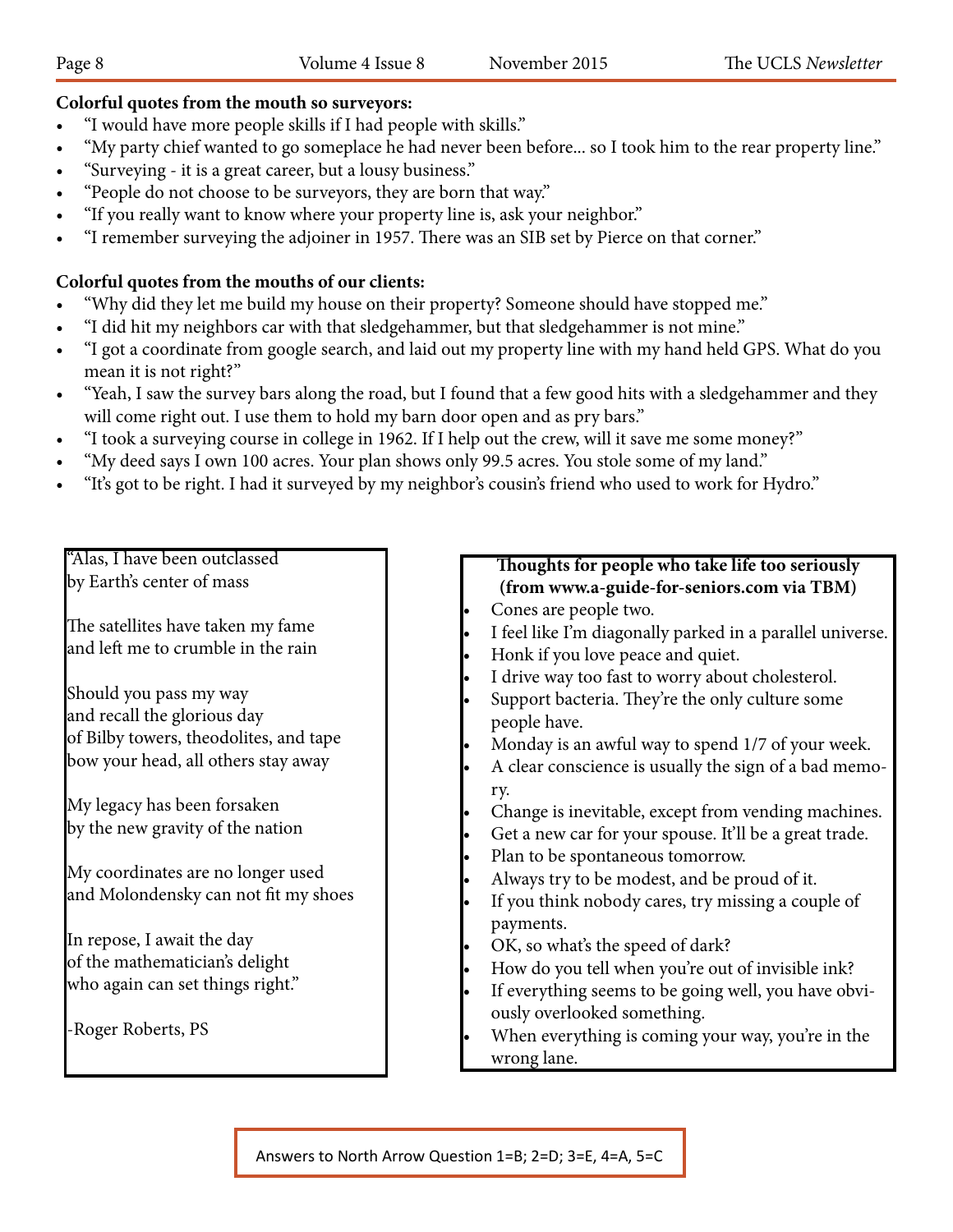# **Colorful quotes from the mouth so surveyors:**

- "I would have more people skills if I had people with skills."
- "My party chief wanted to go someplace he had never been before... so I took him to the rear property line."
- "Surveying it is a great career, but a lousy business."
- "People do not choose to be surveyors, they are born that way."
- "If you really want to know where your property line is, ask your neighbor."
- "I remember surveying the adjoiner in 1957. There was an SIB set by Pierce on that corner."

# **Colorful quotes from the mouths of our clients:**

- "Why did they let me build my house on their property? Someone should have stopped me."
- • "I did hit my neighbors car with that sledgehammer, but that sledgehammer is not mine."
- • "I got a coordinate from google search, and laid out my property line with my hand held GPS. What do you mean it is not right?"
- "Yeah, I saw the survey bars along the road, but I found that a few good hits with a sledgehammer and they will come right out. I use them to hold my barn door open and as pry bars."
- • "I took a surveying course in college in 1962. If I help out the crew, will it save me some money?"
- "My deed says I own 100 acres. Your plan shows only 99.5 acres. You stole some of my land."
- "It's got to be right. I had it surveyed by my neighbor's cousin's friend who used to work for Hydro."

"Alas, I have been outclassed by Earth's center of mass

The satellites have taken my fame and left me to crumble in the rain **1**

Should you pass my way and recall the glorious day of Bilby towers, theodolites, and tape **2** bow your head, all others stay away

My legacy has been forsaken by the new gravity of the nation **3**

My coordinates are no longer used and Molondensky can not fit my shoes

In repose, I await the day of the mathematician's delight who again can set things right." **5**

-Roger Roberts, PS

## **Thoughts for people who take life too seriously (from www.a-guide-for-seniors.com via TBM)** Cones are people two.

- Cones are people two.<br>• I feel like I'm diagonally parked in a parallel universe.
- Honk if you love peace and quiet.
- I drive way too fast to worry about cholesterol.
- start way too hast to worry about entity.<br>
Support bacteria. They're the only culture some people have.
	- Monday is an awful way to spend 1/7 of your week.
- stay away **a bad memo-**<br> **2**  $\bullet$  A clear conscience is usually the sign of a bad memo-<br> **2**  $\bullet$  **2**  $\bullet$  **2**  $\bullet$  **2**  $\bullet$  **2**  $\bullet$  **2**  $\bullet$  **2**  $\bullet$  **2**  $\bullet$  **2**  $\bullet$  **2**  $\bullet$  **2**  $\bullet$  **2**  $\bullet$  **2**  $\bullet$  **2**  $\bullet$  **2**  $\bullet$ ry.
	- Change is inevitable, except from vending machines.
	- Get a new car for your spouse. It'll be a great trade.
	-
- e Plan to be spontaneous tomorrow.<br> **Always try to be modest** and be proud of it Always try to be modest, and be proud of it.
	- If you think nobody cares, try missing a couple of payments.
- $\bullet$  OK, so what's the speed of dark?
	- How do you tell when you're out of invisible ink?
	- If everything seems to be going well, you have obviously overlooked something.
- **•** When everything is coming your way, you're in the wrong lane.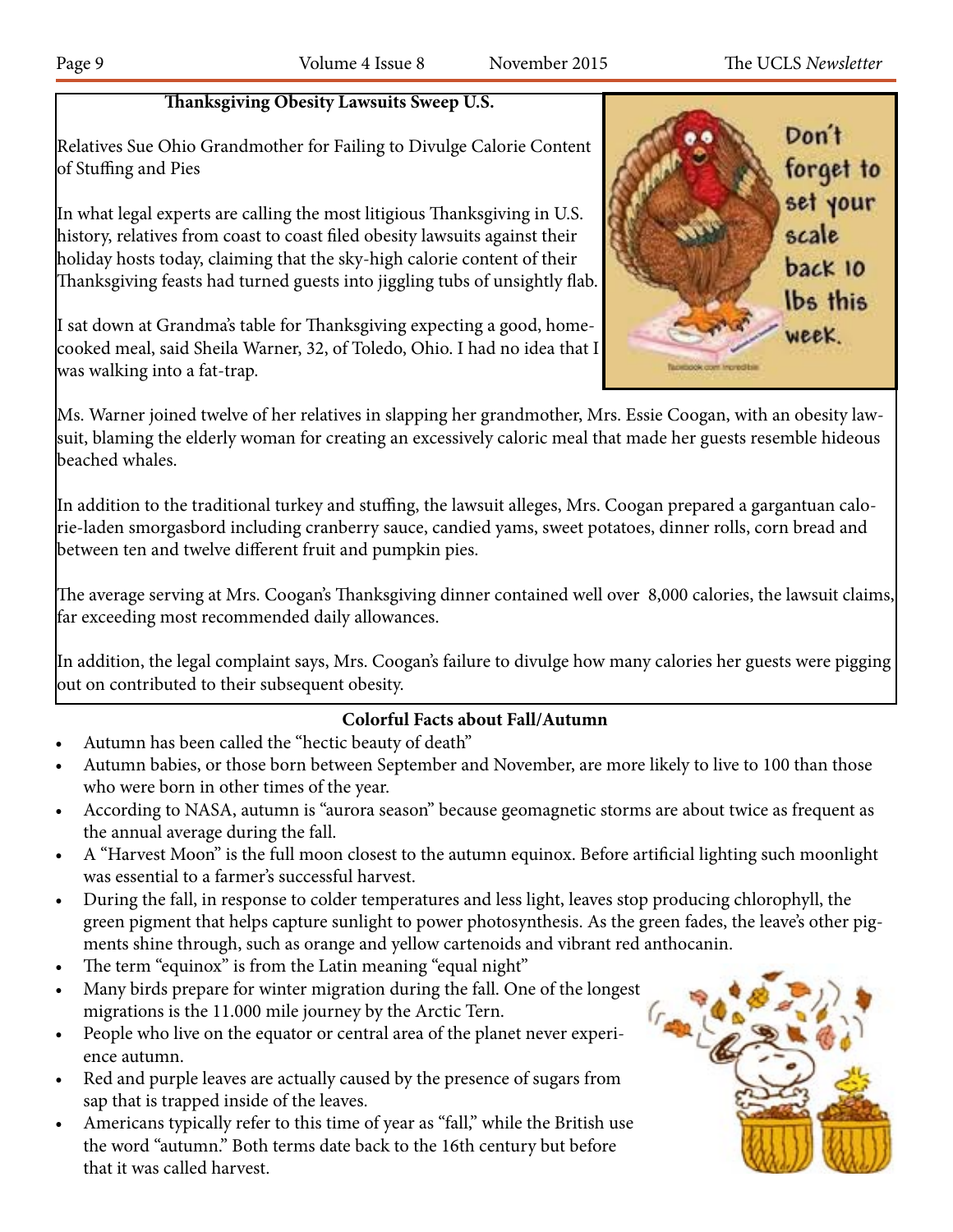# **Thanksgiving Obesity Lawsuits Sweep U.S.**

Relatives Sue Ohio Grandmother for Failing to Divulge Calorie Content of Stuffing and Pies

In what legal experts are calling the most litigious Thanksgiving in U.S. history, relatives from coast to coast filed obesity lawsuits against their holiday hosts today, claiming that the sky-high calorie content of their Thanksgiving feasts had turned guests into jiggling tubs of unsightly flab.

I sat down at Grandma's table for Thanksgiving expecting a good, homecooked meal, said Sheila Warner, 32, of Toledo, Ohio. I had no idea that I was walking into a fat-trap.

Ms. Warner joined twelve of her relatives in slapping her grandmother, Mrs. Essie Coogan, with an obesity lawsuit, blaming the elderly woman for creating an excessively caloric meal that made her guests resemble hideous beached whales.

In addition to the traditional turkey and stuffing, the lawsuit alleges, Mrs. Coogan prepared a gargantuan calorie-laden smorgasbord including cranberry sauce, candied yams, sweet potatoes, dinner rolls, corn bread and between ten and twelve different fruit and pumpkin pies.

The average serving at Mrs. Coogan's Thanksgiving dinner contained well over 8,000 calories, the lawsuit claims, far exceeding most recommended daily allowances.

In addition, the legal complaint says, Mrs. Coogan's failure to divulge how many calories her guests were pigging out on contributed to their subsequent obesity.

# **Colorful Facts about Fall/Autumn**

- Autumn has been called the "hectic beauty of death"
- Autumn babies, or those born between September and November, are more likely to live to 100 than those who were born in other times of the year.
- According to NASA, autumn is "aurora season" because geomagnetic storms are about twice as frequent as the annual average during the fall.
- A "Harvest Moon" is the full moon closest to the autumn equinox. Before artificial lighting such moonlight was essential to a farmer's successful harvest.
- During the fall, in response to colder temperatures and less light, leaves stop producing chlorophyll, the green pigment that helps capture sunlight to power photosynthesis. As the green fades, the leave's other pigments shine through, such as orange and yellow cartenoids and vibrant red anthocanin.
- The term "equinox" is from the Latin meaning "equal night"
- Many birds prepare for winter migration during the fall. One of the longest migrations is the 11.000 mile journey by the Arctic Tern.
- People who live on the equator or central area of the planet never experience autumn.
- Red and purple leaves are actually caused by the presence of sugars from sap that is trapped inside of the leaves.
- Americans typically refer to this time of year as "fall," while the British use the word "autumn." Both terms date back to the 16th century but before that it was called harvest.